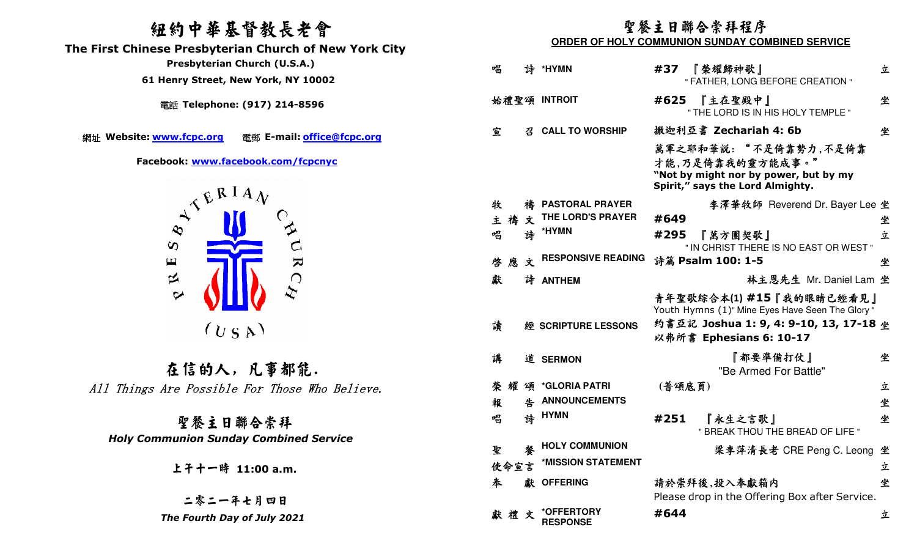## 紐約中華基督教長老會

 **The First Chinese Presbyterian Church of New York City** 

電話 **Telephone: (917) 214-8596** 

網址 Website: www.fcpc.org



在信的人, 凡事都能. All Things Are Possible For Those Who Believe.

聖餐主日聯合崇拜 *Holy Communion Sunday Combined Service* 

## 聖餐主日聯合崇拜程序

**ORDER OF HOLY COMMUNION SUNDAY COMBINED SERVICE** 

| Presbyterian Church (U.S.A.)<br>61 Henry Street, New York, NY 10002                             | 唱<br>*HYMN<br>#37<br>『榮耀歸神歌』<br>誅<br>" FATHER, LONG BEFORE CREATION "                                                                                                       | 立                              |
|-------------------------------------------------------------------------------------------------|-----------------------------------------------------------------------------------------------------------------------------------------------------------------------------|--------------------------------|
| 電話 Telephone: (917) 214-8596                                                                    | 始禮聖頌 INTROIT<br>#625 『主在聖殿中』<br>" THE LORD IS IN HIS HOLY TEMPLE "                                                                                                          | 坐                              |
|                                                                                                 | 撒迦利亞書 Zechariah 4: 6b<br>宣<br><b>CALL TO WORSHIP</b>                                                                                                                        | 坐                              |
| 電郵 E-mail: office@fcpc.org<br>te: www.fcpc.org<br>Facebook: www.facebook.com/fcpcnyc<br>ATERIAN | 萬軍之耶和華説:"不是倚靠勢力,不是倚靠<br>才能,乃是倚靠我的靈方能成事。"<br>"Not by might nor by power, but by my<br>Spirit," says the Lord Almighty.                                                       |                                |
|                                                                                                 | 牧<br>禱 PASTORAL PRAYER                                                                                                                                                      | 李澤華牧師 Reverend Dr. Bayer Lee 坐 |
|                                                                                                 | THE LORD'S PRAYER<br>主禱文<br>#649                                                                                                                                            | 坐                              |
| $\boldsymbol{\omega}$                                                                           | 詩 *HYMN<br>唱<br>#295<br>『萬方團契歌』<br>" IN CHRIST THERE IS NO EAST OR WEST "                                                                                                   | 立                              |
| $\triangleright$<br>$\mathbf \Xi$                                                               | <b>RESPONSIVE READING</b><br>詩篇 Psalm 100: 1-5<br>啓<br>應文                                                                                                                   | 坐                              |
| $\approx$                                                                                       | 獻<br>詩 ANTHEM                                                                                                                                                               | 林主恩先生 Mr. Daniel Lam 坐         |
| $\boldsymbol{\varphi}$<br>(U S A)                                                               | 青年聖歌綜合本(1)#15『我的眼睛已經看見』<br>Youth Hymns (1)" Mine Eyes Have Seen The Glory"<br>約書亞記 Joshua 1: 9, 4: 9-10, 13, 17-18 坐<br>讀<br>經 SCRIPTURE LESSONS<br>以弗所書 Ephesians 6: 10-17 |                                |
| 在信的人,凡事都能.                                                                                      | 『都要準備打仗』<br>講<br>道 SERMON<br>"Be Armed For Battle"                                                                                                                          | 坐                              |
| ngs Are Possible For Those Who Believe.                                                         | 榮耀頌 *GLORIA PATRI<br>(普頌底頁)                                                                                                                                                 | 立                              |
|                                                                                                 | <b>ANNOUNCEMENTS</b><br>報                                                                                                                                                   | 坐                              |
| 聖餐主日聯合崇拜                                                                                        | 詩 HYMN<br>唱<br>#251<br>『永生之言歌』<br>" BREAK THOU THE BREAD OF LIFE "                                                                                                          | 坐                              |
| <b>Communion Sunday Combined Service</b>                                                        | <b>HOLY COMMUNION</b><br>聖<br>馨                                                                                                                                             | 梁李萍清長老 CRE Peng C. Leong 坐     |
| 上子十一時 11:00 a.m.                                                                                | *MISSION STATEMENT<br>使命宣言                                                                                                                                                  | 立                              |
|                                                                                                 | 獻 OFFERING<br>請於崇拜後,投入奉獻箱内<br>奉                                                                                                                                             | 坐                              |
| 二零二一年七月四日                                                                                       | Please drop in the Offering Box after Service.                                                                                                                              |                                |
| The Fourth Day of July 2021                                                                     | *OFFERTORY<br>#644<br>獻禮文<br><b>RESPONSE</b>                                                                                                                                | 立                              |
|                                                                                                 |                                                                                                                                                                             |                                |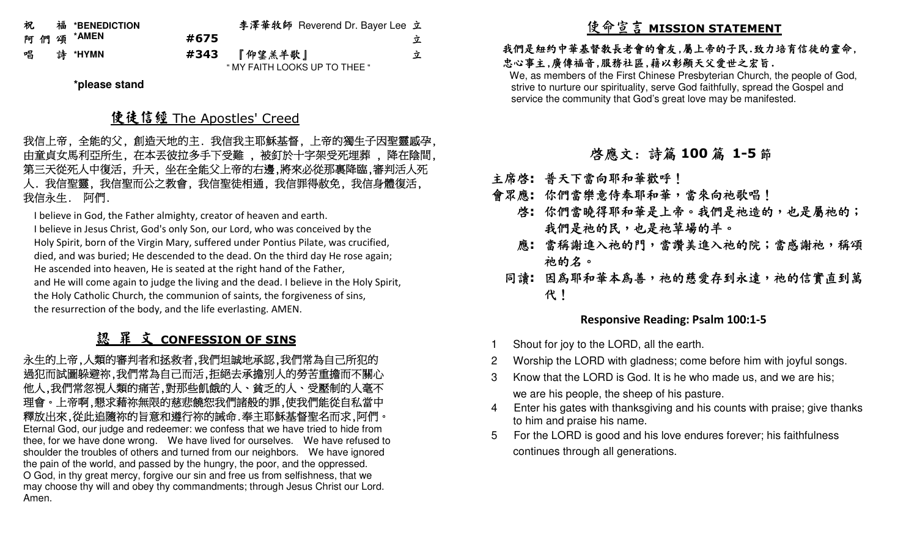| 祝 | 福 *BENEDICTION |      | 李澤華牧師 Reverend Dr. Bayer Lee 立 |   |
|---|----------------|------|--------------------------------|---|
|   | 阿 們 頌 *AMEN    | #675 |                                | 立 |
| 唱 | ま *HYMN        | #343 | 『仰望羔羊歌』                        | 立 |
|   |                |      | " MY FAITH LOOKS UP TO THEE "  |   |

**\*please stand** 

# 使徒信經 The Apostles' Creed<br>ハーツェックス (ハーツルコ

我信上帝, 全能的父, 創造天地的主. 我信我主耶穌基督, 上帝的獨生子因聖靈感孕, 由童貞女馬利亞所生, 在本丟彼拉多手下受難 , 被釘於十字架受死埋葬 , 降在陰間, 第三天從死人中復活, 升天, 坐在全能父上帝的右邊,將來必從那裏降臨,審判活人死人. 我信聖靈, 我信聖而公之教會, 我信聖徒相通, 我信罪得赦免, 我信身體復活, 我信永生. 阿們.

I believe in God, the Father almighty, creator of heaven and earth.

I believe in Jesus Christ, God's only Son, our Lord, who was conceived by the Holy Spirit, born of the Virgin Mary, suffered under Pontius Pilate, was crucified, died, and was buried; He descended to the dead. On the third day He rose again; He ascended into heaven, He is seated at the right hand of the Father, and He will come again to judge the living and the dead. I believe in the Holy Spirit, the Holy Catholic Church, the communion of saints, the forgiveness of sins, the resurrection of the body, and the life everlasting. AMEN.

# <u>認 罪 文 CONFESSION OF SINS</u><br>题的离判者和技术者 色明明神地系统 色

永生的上帝,人類的審判者和拯救者,我們坦誠地承認,我們常為自己所犯的 過犯而試圖躲避祢,我們常為自己而活,拒絕去承擔別人的勞苦重擔而不關心 他人,我們常忽視人類的痛苦,對那些飢餓的人、貧乏的人、受壓制的人毫不 理會。上帝啊,懇求藉祢無限的慈悲饒恕我們諸般的罪,使我們能從自私當中 釋放出來,從此追隨祢的旨意和遵行祢的誡命.奉主耶穌基督聖名而求,阿們。 Eternal God, our judge and redeemer: we confess that we have tried to hide from thee, for we have done wrong. We have lived for ourselves. We have refused to shoulder the troubles of others and turned from our neighbors. We have ignored the pain of the world, and passed by the hungry, the poor, and the oppressed. O God, in thy great mercy, forgive our sin and free us from selfishness, that we may choose thy will and obey thy commandments; through Jesus Christ our Lord. Amen.

# 使命宣言 **MISSION STATEMENT**

### 我們是紐約中華基督教長老會的會友,屬上帝的子民.致力培育信徒的靈命, 忠心事主,廣傳福音,服務社區,藉以彰顯天父愛世之宏旨.

 We, as members of the First Chinese Presbyterian Church, the people of God, strive to nurture our spirituality, serve God faithfully, spread the Gospel and service the community that God's great love may be manifested.

# 啟應文: 詩篇 **<sup>100</sup>** 篇 **1-5**節

- 主席啟**:** 普天下當向耶和華歡呼!
- 會眾應**:** 你們當樂意侍奉耶和華,當來向祂歌唱!
	- 啓**:** 你們當曉得耶和華是上帝。我們是祂造的,也是屬祂的; 我們是祂的民,也是祂草場的羊。
	- 應**:** 當稱謝進入祂的門,當讚美進入祂的院;當感謝祂,稱頌 祂的名。
- 同讀:因為耶和華本為善,祂的慈愛存到永遠,祂的信實直到萬 代!

### **Responsive Reading: Psalm 100:1-5**

- Shout for joy to the LORD, all the earth.
- 2 Worship the LORD with gladness; come before him with joyful songs.
- 3 Know that the LORD is God. It is he who made us, and we are his; we are his people, the sheep of his pasture.
- 4 Enter his gates with thanksgiving and his counts with praise; give thanks to him and praise his name.
- 5 For the LORD is good and his love endures forever; his faithfulness continues through all generations.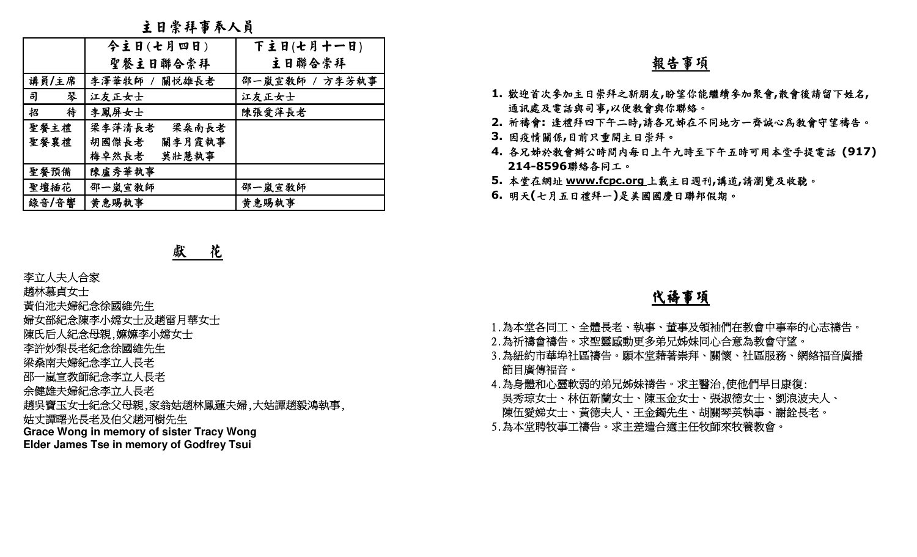主日崇拜事奉人員

|        | 今主日(七月四日)       | 下主日(七月十一日)     |
|--------|-----------------|----------------|
|        | 聖餐主日聯合崇拜        | 主日聯合崇拜         |
| 講員/主席  | 李澤華牧師 / 關悦雄長老   | 邵一嵐宣教師 / 方李芳執事 |
| 琴<br>司 | 江友正女士           | 江友正女士          |
| 待<br>招 | 李鳳屏女士           | 陳張愛萍長老         |
| 聖餐主禮   | 梁李萍清長老<br>梁桑南長老 |                |
| 聖餐襄禮   | 關李月霞執事<br>胡國傑長老 |                |
|        | 莫壯慧執事<br>梅卓然長老  |                |
| 聖餐預備   | 陳盧秀華執事          |                |
| 聖壇插花   | 邵一嵐宣教師          | 邵一嵐宣教師         |
| 錄音/音響  | 黄惠賜執事           | 黄惠賜執事          |
|        |                 |                |

獻 花

- 
- 
- 
- 
- 
- 
- 
- 
- 李立人夫人合家<br>趙林慕貞女士<br>趙林慕貞女士<br>黃伯池夫婦紀念徐國維先生<br>婦女部紀念傳李小嫦女士及趙雷月華女士<br>陳氏后人紀念母親,嫲嫲李小嫦女士<br>陳氏后人紀念李立人長老<br>李許妙梨長老紀念李立人長老<br>梁桑南夫婦紀念李立人長老<br>邵一嵐宣教師紀念李立人長老<br>命健雄夫婦紀念李立人長老<br>余健雄夫婦紀念李立人長老<br>始吳寶玉女士紀念父母親,家翁姑趙林鳳蓮夫婦,大姑譚趙毅鴻執事,<br>姑丈譚曙光長老及伯父趙河樹先生
- 
- **Grace Wong in memory of sister Tracy Wong**
- **Elder James Tse in memory of Godfrey Tsui**

### 報告事項

- **1.** 歡迎首次參加主日崇拜之新朋友**,**盼望你能繼續參加聚會**,**散會後請留下姓名**,**  通訊處及電話與司事**,**以便教會與你聯絡。
- **2.** 祈禱會**:** 逢禮拜四下午二時**,**請各兄姊在不同地方一齊誠心為教會守望禱告。
- **3.** 因疫情關係**,**目前只重開主日崇拜。
- **4.** 各兄姊於教會辦公時間內每日上午九時至下午五時可用本堂手提電話 **(917) 214-8596**聯絡各同工。
- **5.** 本堂在網址 **www.fcpc.org** 上載主日週刊**,**講道**,**請瀏覽及收聽。
- **6.** 明天**(**七月五日禮拜一**)**是美國國慶日聯邦假期。

### 代禱事項

- 
- 
- 
- 1.為本堂各同工、全體長老、執事、董事及領袖們在教會中事奉的心志禱告。<br>2.為祈禱會禱告。求聖靈感動更多弟兄姊妹同心合意為教會守望。<br>3.為紐約市華埠社區禱告。願本堂藉著崇拜、關懷、社區服務、網絡福音廣播<br>節目廣傳福音。<br>4.為身體和心靈軟弱的弟兄姊妹禱告。求主醫治,使他們早日康復:<br>吳秀琼女士、林伍新蘭女士、陳玉金女士、張淑德女士、劉浪波夫人、<br>陳伍愛娣女士、黃德夫人、王金鐲先生、胡關琴英執事、謝銓長老。<br>陳伍愛娣女士、黃德夫人、王金鐲
-